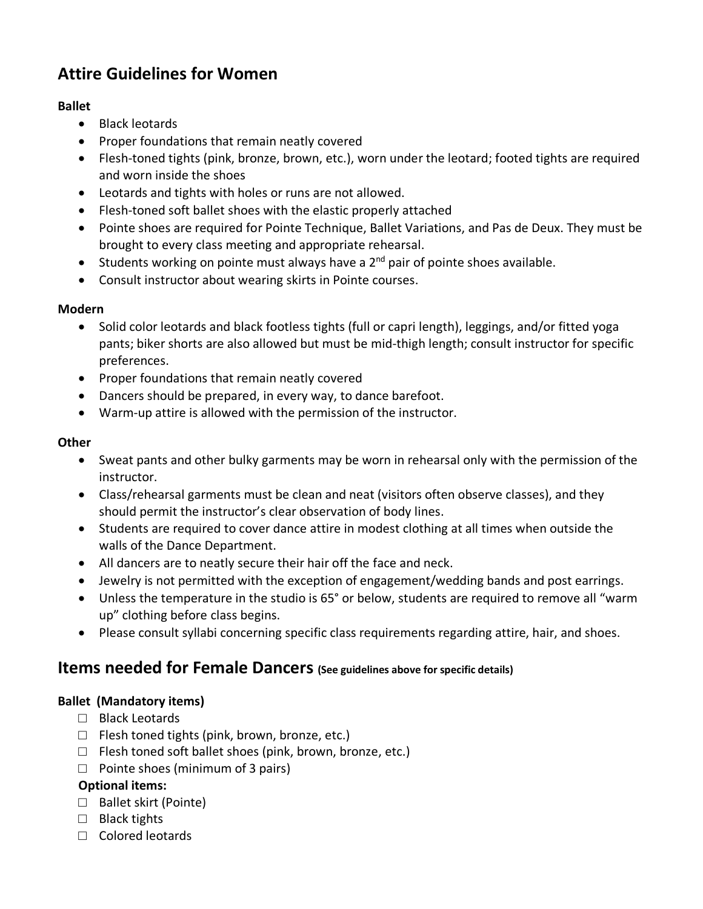# **Attire Guidelines for Women**

## **Ballet**

- Black leotards
- Proper foundations that remain neatly covered
- Flesh-toned tights (pink, bronze, brown, etc.), worn under the leotard; footed tights are required and worn inside the shoes
- Leotards and tights with holes or runs are not allowed.
- Flesh-toned soft ballet shoes with the elastic properly attached
- Pointe shoes are required for Pointe Technique, Ballet Variations, and Pas de Deux. They must be brought to every class meeting and appropriate rehearsal.
- Students working on pointe must always have a  $2^{nd}$  pair of pointe shoes available.
- Consult instructor about wearing skirts in Pointe courses.

## **Modern**

- Solid color leotards and black footless tights (full or capri length), leggings, and/or fitted yoga pants; biker shorts are also allowed but must be mid-thigh length; consult instructor for specific preferences.
- Proper foundations that remain neatly covered
- Dancers should be prepared, in every way, to dance barefoot.
- Warm-up attire is allowed with the permission of the instructor.

## **Other**

- Sweat pants and other bulky garments may be worn in rehearsal only with the permission of the instructor.
- Class/rehearsal garments must be clean and neat (visitors often observe classes), and they should permit the instructor's clear observation of body lines.
- Students are required to cover dance attire in modest clothing at all times when outside the walls of the Dance Department.
- All dancers are to neatly secure their hair off the face and neck.
- Jewelry is not permitted with the exception of engagement/wedding bands and post earrings.
- Unless the temperature in the studio is 65° or below, students are required to remove all "warm up" clothing before class begins.
- Please consult syllabi concerning specific class requirements regarding attire, hair, and shoes.

## **Items needed for Female Dancers (See guidelines above for specific details)**

## **Ballet (Mandatory items)**

- □ Black Leotards
- $\Box$  Flesh toned tights (pink, brown, bronze, etc.)
- $\Box$  Flesh toned soft ballet shoes (pink, brown, bronze, etc.)
- $\Box$  Pointe shoes (minimum of 3 pairs)

## **Optional items:**

- □ Ballet skirt (Pointe)
- □ Black tights
- □ Colored leotards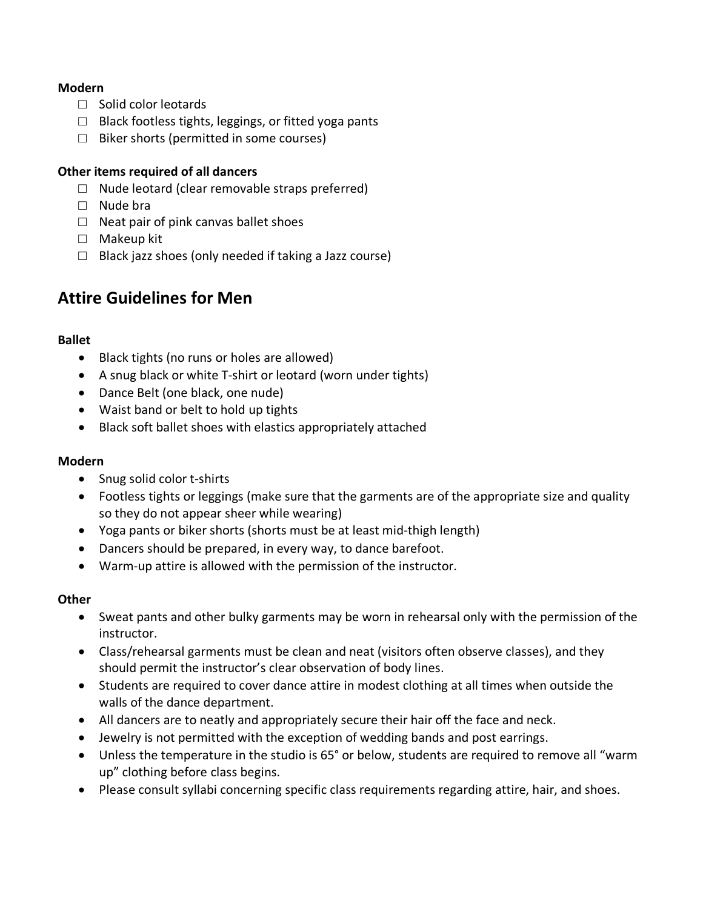### **Modern**

- □ Solid color leotards
- $\Box$  Black footless tights, leggings, or fitted yoga pants
- $\Box$  Biker shorts (permitted in some courses)

### **Other items required of all dancers**

- $\Box$  Nude leotard (clear removable straps preferred)
- □ Nude bra
- $\Box$  Neat pair of pink canvas ballet shoes
- □ Makeup kit
- $\Box$  Black jazz shoes (only needed if taking a Jazz course)

## **Attire Guidelines for Men**

### **Ballet**

- Black tights (no runs or holes are allowed)
- A snug black or white T-shirt or leotard (worn under tights)
- Dance Belt (one black, one nude)
- Waist band or belt to hold up tights
- Black soft ballet shoes with elastics appropriately attached

#### **Modern**

- Snug solid color t-shirts
- Footless tights or leggings (make sure that the garments are of the appropriate size and quality so they do not appear sheer while wearing)
- Yoga pants or biker shorts (shorts must be at least mid-thigh length)
- Dancers should be prepared, in every way, to dance barefoot.
- Warm-up attire is allowed with the permission of the instructor.

## **Other**

- Sweat pants and other bulky garments may be worn in rehearsal only with the permission of the instructor.
- Class/rehearsal garments must be clean and neat (visitors often observe classes), and they should permit the instructor's clear observation of body lines.
- Students are required to cover dance attire in modest clothing at all times when outside the walls of the dance department.
- All dancers are to neatly and appropriately secure their hair off the face and neck.
- Jewelry is not permitted with the exception of wedding bands and post earrings.
- Unless the temperature in the studio is 65° or below, students are required to remove all "warm up" clothing before class begins.
- Please consult syllabi concerning specific class requirements regarding attire, hair, and shoes.